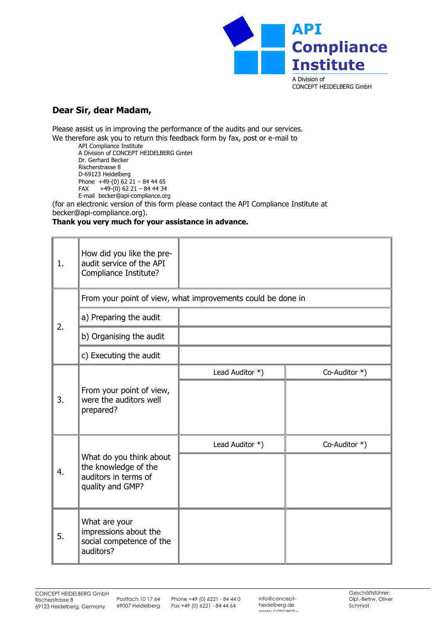

## CONCEPT HEIDELBERG GmbH

## **Dear Sir, dear Madam,**

Please assist us in improving the performance of the audits and our services. We therefore ask you to return this feedback form by fax, post or e-mail to

API Compliance Institute A Division of CONCEPT HEIDELBERG GmbH Dr. Gerhard Becker Rischerstrasse 8 D-69123 Heidelberg Phone  $+49-(0)$  62  $21 - 84$  44 65 FAX  $+49-(0)$  62 21 - 84 44 34 E-mail becker@api-compliance.org

(for an electronic version of this form please contact the API Compliance Institute at becker@api-compliance.org).

## **Thank you very much for your assistance in advance.**

| 1. | How did you like the pre-<br>audit service of the API<br>Compliance Institute?              |                 |               |  |
|----|---------------------------------------------------------------------------------------------|-----------------|---------------|--|
| 2. | From your point of view, what improvements could be done in                                 |                 |               |  |
|    | a) Preparing the audit                                                                      |                 |               |  |
|    | b) Organising the audit                                                                     |                 |               |  |
|    | c) Executing the audit                                                                      |                 |               |  |
| 3. | From your point of view,<br>were the auditors well<br>prepared?                             | Lead Auditor *) | Co-Auditor *) |  |
|    |                                                                                             |                 |               |  |
| 4. | What do you think about<br>the knowledge of the<br>auditors in terms of<br>quality and GMP? | Lead Auditor *) | Co-Auditor *) |  |
|    |                                                                                             |                 |               |  |
| 5. | What are your<br>impressions about the<br>social competence of the<br>auditors?             |                 |               |  |